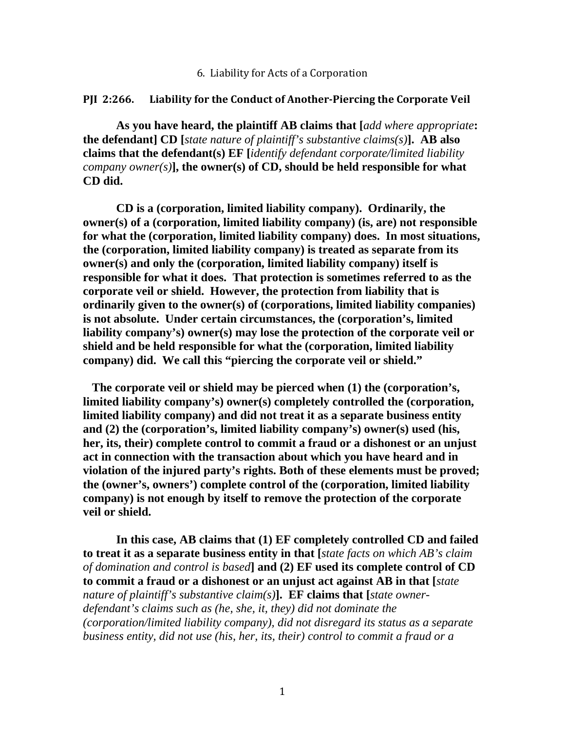## 6. Liability for Acts of a Corporation

## **PJI 2:266. Liability for the Conduct of Another‐Piercing the Corporate Veil**

**As you have heard, the plaintiff AB claims that [***add where appropriate***: the defendant] CD [***state nature of plaintiff's substantive claims(s)***]. AB also claims that the defendant(s) EF [***identify defendant corporate/limited liability company owner(s)***], the owner(s) of CD, should be held responsible for what CD did.** 

 **CD is a (corporation, limited liability company). Ordinarily, the owner(s) of a (corporation, limited liability company) (is, are) not responsible for what the (corporation, limited liability company) does. In most situations, the (corporation, limited liability company) is treated as separate from its owner(s) and only the (corporation, limited liability company) itself is responsible for what it does. That protection is sometimes referred to as the corporate veil or shield. However, the protection from liability that is ordinarily given to the owner(s) of (corporations, limited liability companies) is not absolute. Under certain circumstances, the (corporation's, limited liability company's) owner(s) may lose the protection of the corporate veil or shield and be held responsible for what the (corporation, limited liability company) did. We call this "piercing the corporate veil or shield."** 

 **The corporate veil or shield may be pierced when (1) the (corporation's, limited liability company's) owner(s) completely controlled the (corporation, limited liability company) and did not treat it as a separate business entity and (2) the (corporation's, limited liability company's) owner(s) used (his, her, its, their) complete control to commit a fraud or a dishonest or an unjust act in connection with the transaction about which you have heard and in violation of the injured party's rights. Both of these elements must be proved; the (owner's, owners') complete control of the (corporation, limited liability company) is not enough by itself to remove the protection of the corporate veil or shield.** 

 **In this case, AB claims that (1) EF completely controlled CD and failed to treat it as a separate business entity in that [***state facts on which AB's claim of domination and control is based***] and (2) EF used its complete control of CD to commit a fraud or a dishonest or an unjust act against AB in that [***state nature of plaintiff's substantive claim(s)***]. EF claims that [***state ownerdefendant's claims such as (he, she, it, they) did not dominate the (corporation/limited liability company), did not disregard its status as a separate business entity, did not use (his, her, its, their) control to commit a fraud or a*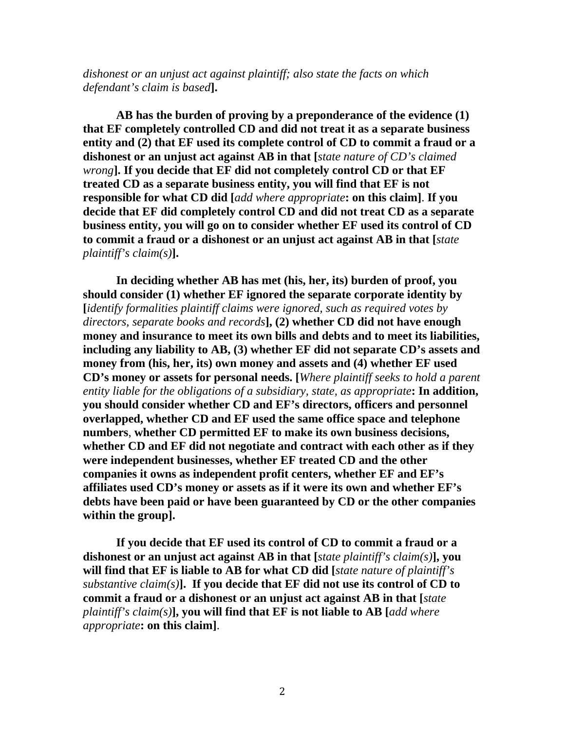*dishonest or an unjust act against plaintiff; also state the facts on which defendant's claim is based***].** 

 **AB has the burden of proving by a preponderance of the evidence (1) that EF completely controlled CD and did not treat it as a separate business entity and (2) that EF used its complete control of CD to commit a fraud or a dishonest or an unjust act against AB in that [***state nature of CD's claimed wrong***]. If you decide that EF did not completely control CD or that EF treated CD as a separate business entity, you will find that EF is not responsible for what CD did [***add where appropriate***: on this claim]**. **If you decide that EF did completely control CD and did not treat CD as a separate business entity, you will go on to consider whether EF used its control of CD to commit a fraud or a dishonest or an unjust act against AB in that [***state plaintiff's claim(s)***].** 

 **In deciding whether AB has met (his, her, its) burden of proof, you should consider (1) whether EF ignored the separate corporate identity by [***identify formalities plaintiff claims were ignored, such as required votes by directors, separate books and records***], (2) whether CD did not have enough money and insurance to meet its own bills and debts and to meet its liabilities, including any liability to AB, (3) whether EF did not separate CD's assets and money from (his, her, its) own money and assets and (4) whether EF used CD's money or assets for personal needs. [***Where plaintiff seeks to hold a parent entity liable for the obligations of a subsidiary, state, as appropriate***: In addition, you should consider whether CD and EF's directors, officers and personnel overlapped, whether CD and EF used the same office space and telephone numbers**, **whether CD permitted EF to make its own business decisions, whether CD and EF did not negotiate and contract with each other as if they were independent businesses, whether EF treated CD and the other companies it owns as independent profit centers, whether EF and EF's affiliates used CD's money or assets as if it were its own and whether EF's debts have been paid or have been guaranteed by CD or the other companies within the group].**

 **If you decide that EF used its control of CD to commit a fraud or a dishonest or an unjust act against AB in that [***state plaintiff's claim(s)***], you will find that EF is liable to AB for what CD did [***state nature of plaintiff's substantive claim(s)***]. If you decide that EF did not use its control of CD to commit a fraud or a dishonest or an unjust act against AB in that [***state plaintiff's claim(s)***], you will find that EF is not liable to AB [***add where appropriate***: on this claim]**.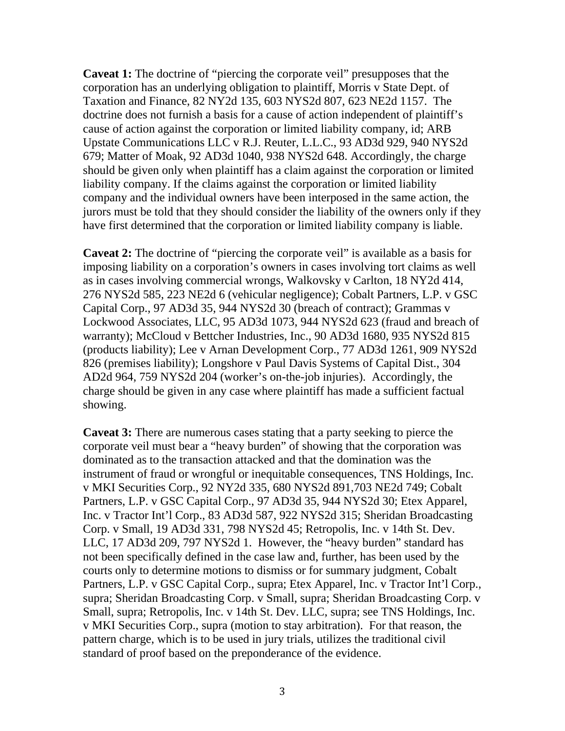**Caveat 1:** The doctrine of "piercing the corporate veil" presupposes that the corporation has an underlying obligation to plaintiff, Morris v State Dept. of Taxation and Finance, 82 NY2d 135, 603 NYS2d 807, 623 NE2d 1157. The doctrine does not furnish a basis for a cause of action independent of plaintiff's cause of action against the corporation or limited liability company, id; ARB Upstate Communications LLC v R.J. Reuter, L.L.C., 93 AD3d 929, 940 NYS2d 679; Matter of Moak, 92 AD3d 1040, 938 NYS2d 648. Accordingly, the charge should be given only when plaintiff has a claim against the corporation or limited liability company. If the claims against the corporation or limited liability company and the individual owners have been interposed in the same action, the jurors must be told that they should consider the liability of the owners only if they have first determined that the corporation or limited liability company is liable.

**Caveat 2:** The doctrine of "piercing the corporate veil" is available as a basis for imposing liability on a corporation's owners in cases involving tort claims as well as in cases involving commercial wrongs, Walkovsky v Carlton, 18 NY2d 414, 276 NYS2d 585, 223 NE2d 6 (vehicular negligence); Cobalt Partners, L.P. v GSC Capital Corp., 97 AD3d 35, 944 NYS2d 30 (breach of contract); Grammas v Lockwood Associates, LLC, 95 AD3d 1073, 944 NYS2d 623 (fraud and breach of warranty); McCloud v Bettcher Industries, Inc., 90 AD3d 1680, 935 NYS2d 815 (products liability); Lee v Arnan Development Corp., 77 AD3d 1261, 909 NYS2d 826 (premises liability); Longshore v Paul Davis Systems of Capital Dist., 304 AD2d 964, 759 NYS2d 204 (worker's on-the-job injuries). Accordingly, the charge should be given in any case where plaintiff has made a sufficient factual showing.

**Caveat 3:** There are numerous cases stating that a party seeking to pierce the corporate veil must bear a "heavy burden" of showing that the corporation was dominated as to the transaction attacked and that the domination was the instrument of fraud or wrongful or inequitable consequences, TNS Holdings, Inc. v MKI Securities Corp., 92 NY2d 335, 680 NYS2d 891,703 NE2d 749; Cobalt Partners, L.P. v GSC Capital Corp., 97 AD3d 35, 944 NYS2d 30; Etex Apparel, Inc. v Tractor Int'l Corp., 83 AD3d 587, 922 NYS2d 315; Sheridan Broadcasting Corp. v Small, 19 AD3d 331, 798 NYS2d 45; Retropolis, Inc. v 14th St. Dev. LLC, 17 AD3d 209, 797 NYS2d 1. However, the "heavy burden" standard has not been specifically defined in the case law and, further, has been used by the courts only to determine motions to dismiss or for summary judgment, Cobalt Partners, L.P. v GSC Capital Corp., supra; Etex Apparel, Inc. v Tractor Int'l Corp., supra; Sheridan Broadcasting Corp. v Small, supra; Sheridan Broadcasting Corp. v Small, supra; Retropolis, Inc. v 14th St. Dev. LLC, supra; see TNS Holdings, Inc. v MKI Securities Corp., supra (motion to stay arbitration). For that reason, the pattern charge, which is to be used in jury trials, utilizes the traditional civil standard of proof based on the preponderance of the evidence.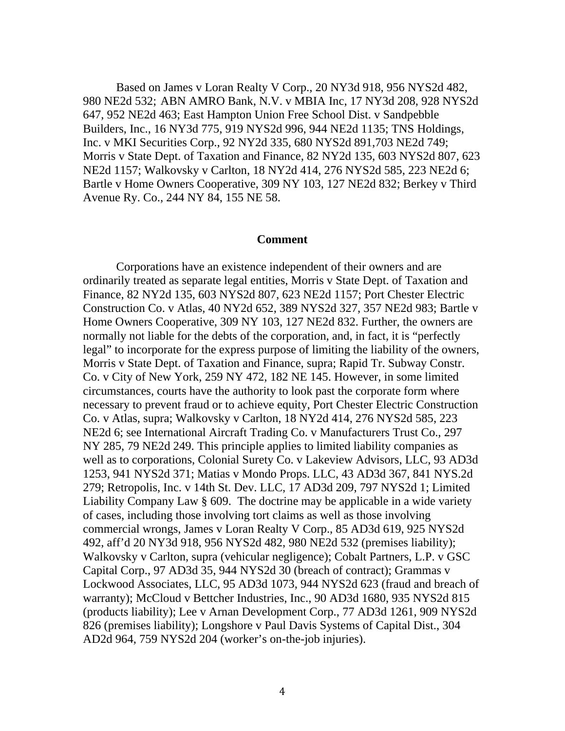Based on James v Loran Realty V Corp., 20 NY3d 918, 956 NYS2d 482, 980 NE2d 532; ABN AMRO Bank, N.V. v MBIA Inc, 17 NY3d 208, 928 NYS2d 647, 952 NE2d 463; East Hampton Union Free School Dist. v Sandpebble Builders, Inc., 16 NY3d 775, 919 NYS2d 996, 944 NE2d 1135; TNS Holdings, Inc. v MKI Securities Corp., 92 NY2d 335, 680 NYS2d 891,703 NE2d 749; Morris v State Dept. of Taxation and Finance, 82 NY2d 135, 603 NYS2d 807, 623 NE2d 1157; Walkovsky v Carlton, 18 NY2d 414, 276 NYS2d 585, 223 NE2d 6; Bartle v Home Owners Cooperative, 309 NY 103, 127 NE2d 832; Berkey v Third Avenue Ry. Co., 244 NY 84, 155 NE 58.

## **Comment**

 Corporations have an existence independent of their owners and are ordinarily treated as separate legal entities, Morris v State Dept. of Taxation and Finance, 82 NY2d 135, 603 NYS2d 807, 623 NE2d 1157; Port Chester Electric Construction Co. v Atlas, 40 NY2d 652, 389 NYS2d 327, 357 NE2d 983; Bartle v Home Owners Cooperative, 309 NY 103, 127 NE2d 832. Further, the owners are normally not liable for the debts of the corporation, and, in fact, it is "perfectly legal" to incorporate for the express purpose of limiting the liability of the owners, Morris v State Dept. of Taxation and Finance, supra; Rapid Tr. Subway Constr. Co. v City of New York, 259 NY 472, 182 NE 145. However, in some limited circumstances, courts have the authority to look past the corporate form where necessary to prevent fraud or to achieve equity, Port Chester Electric Construction Co. v Atlas, supra; Walkovsky v Carlton, 18 NY2d 414, 276 NYS2d 585, 223 NE2d 6; see International Aircraft Trading Co. v Manufacturers Trust Co., 297 NY 285, 79 NE2d 249. This principle applies to limited liability companies as well as to corporations, Colonial Surety Co. v Lakeview Advisors, LLC, 93 AD3d 1253, 941 NYS2d 371; Matias v Mondo Props. LLC, 43 AD3d 367, 841 NYS.2d 279; Retropolis, Inc. v 14th St. Dev. LLC, 17 AD3d 209, 797 NYS2d 1; Limited Liability Company Law § 609. The doctrine may be applicable in a wide variety of cases, including those involving tort claims as well as those involving commercial wrongs, James v Loran Realty V Corp., 85 AD3d 619, 925 NYS2d 492, aff'd 20 NY3d 918, 956 NYS2d 482, 980 NE2d 532 (premises liability); Walkovsky v Carlton, supra (vehicular negligence); Cobalt Partners, L.P. v GSC Capital Corp., 97 AD3d 35, 944 NYS2d 30 (breach of contract); Grammas v Lockwood Associates, LLC, 95 AD3d 1073, 944 NYS2d 623 (fraud and breach of warranty); McCloud v Bettcher Industries, Inc., 90 AD3d 1680, 935 NYS2d 815 (products liability); Lee v Arnan Development Corp., 77 AD3d 1261, 909 NYS2d 826 (premises liability); Longshore v Paul Davis Systems of Capital Dist., 304 AD2d 964, 759 NYS2d 204 (worker's on-the-job injuries).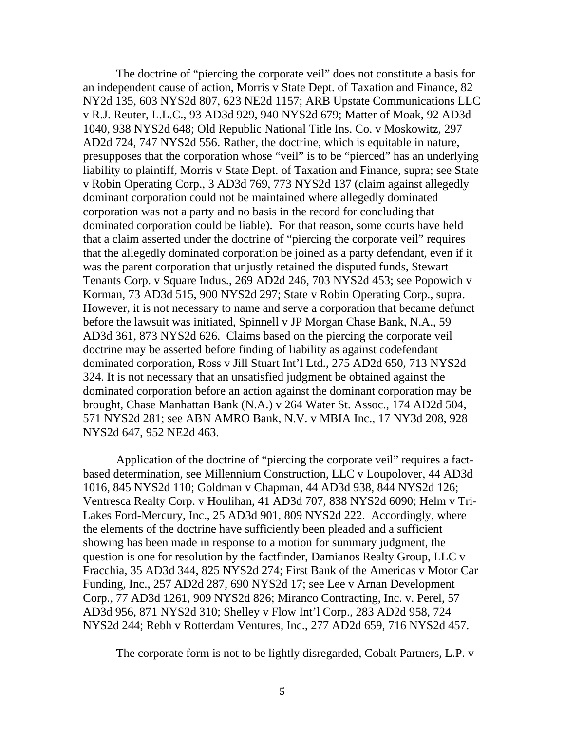The doctrine of "piercing the corporate veil" does not constitute a basis for an independent cause of action, Morris v State Dept. of Taxation and Finance, 82 NY2d 135, 603 NYS2d 807, 623 NE2d 1157; ARB Upstate Communications LLC v R.J. Reuter, L.L.C., 93 AD3d 929, 940 NYS2d 679; Matter of Moak, 92 AD3d 1040, 938 NYS2d 648; Old Republic National Title Ins. Co. v Moskowitz, 297 AD2d 724, 747 NYS2d 556. Rather, the doctrine, which is equitable in nature, presupposes that the corporation whose "veil" is to be "pierced" has an underlying liability to plaintiff, Morris v State Dept. of Taxation and Finance, supra; see State v Robin Operating Corp., 3 AD3d 769, 773 NYS2d 137 (claim against allegedly dominant corporation could not be maintained where allegedly dominated corporation was not a party and no basis in the record for concluding that dominated corporation could be liable). For that reason, some courts have held that a claim asserted under the doctrine of "piercing the corporate veil" requires that the allegedly dominated corporation be joined as a party defendant, even if it was the parent corporation that unjustly retained the disputed funds, Stewart Tenants Corp. v Square Indus., 269 AD2d 246, 703 NYS2d 453; see Popowich v Korman, 73 AD3d 515, 900 NYS2d 297; State v Robin Operating Corp., supra. However, it is not necessary to name and serve a corporation that became defunct before the lawsuit was initiated, Spinnell v JP Morgan Chase Bank, N.A., 59 AD3d 361, 873 NYS2d 626. Claims based on the piercing the corporate veil doctrine may be asserted before finding of liability as against codefendant dominated corporation, Ross v Jill Stuart Int'l Ltd., 275 AD2d 650, 713 NYS2d 324. It is not necessary that an unsatisfied judgment be obtained against the dominated corporation before an action against the dominant corporation may be brought, Chase Manhattan Bank (N.A.) v 264 Water St. Assoc., 174 AD2d 504, 571 NYS2d 281; see ABN AMRO Bank, N.V. v MBIA Inc., 17 NY3d 208, 928 NYS2d 647, 952 NE2d 463.

 Application of the doctrine of "piercing the corporate veil" requires a factbased determination, see Millennium Construction, LLC v Loupolover, 44 AD3d 1016, 845 NYS2d 110; Goldman v Chapman, 44 AD3d 938, 844 NYS2d 126; Ventresca Realty Corp. v Houlihan, 41 AD3d 707, 838 NYS2d 6090; Helm v Tri-Lakes Ford-Mercury, Inc., 25 AD3d 901, 809 NYS2d 222. Accordingly, where the elements of the doctrine have sufficiently been pleaded and a sufficient showing has been made in response to a motion for summary judgment, the question is one for resolution by the factfinder, Damianos Realty Group, LLC v Fracchia, 35 AD3d 344, 825 NYS2d 274; First Bank of the Americas v Motor Car Funding, Inc., 257 AD2d 287, 690 NYS2d 17; see Lee v Arnan Development Corp., 77 AD3d 1261, 909 NYS2d 826; Miranco Contracting, Inc. v. Perel, 57 AD3d 956, 871 NYS2d 310; Shelley v Flow Int'l Corp., 283 AD2d 958, 724 NYS2d 244; Rebh v Rotterdam Ventures, Inc., 277 AD2d 659, 716 NYS2d 457.

The corporate form is not to be lightly disregarded, Cobalt Partners, L.P. v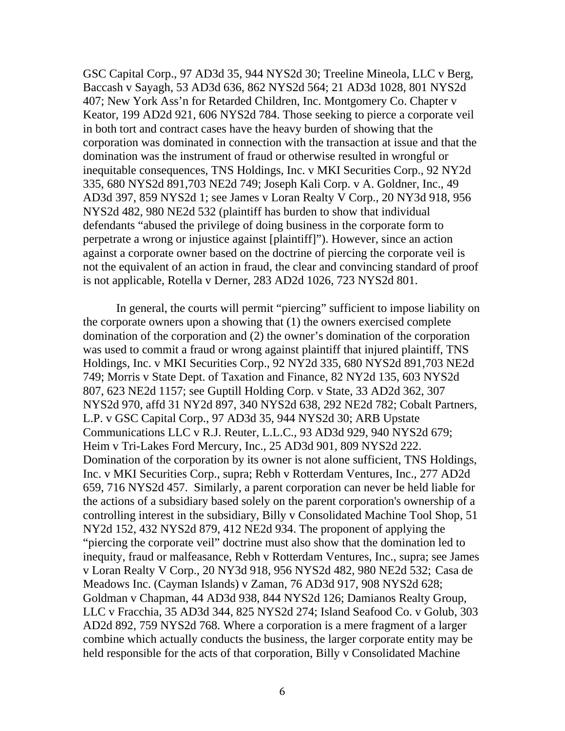GSC Capital Corp., 97 AD3d 35, 944 NYS2d 30; Treeline Mineola, LLC v Berg, Baccash v Sayagh, 53 AD3d 636, 862 NYS2d 564; 21 AD3d 1028, 801 NYS2d 407; New York Ass'n for Retarded Children, Inc. Montgomery Co. Chapter v Keator, 199 AD2d 921, 606 NYS2d 784. Those seeking to pierce a corporate veil in both tort and contract cases have the heavy burden of showing that the corporation was dominated in connection with the transaction at issue and that the domination was the instrument of fraud or otherwise resulted in wrongful or inequitable consequences, TNS Holdings, Inc. v MKI Securities Corp., 92 NY2d 335, 680 NYS2d 891,703 NE2d 749; Joseph Kali Corp. v A. Goldner, Inc., 49 AD3d 397, 859 NYS2d 1; see James v Loran Realty V Corp., 20 NY3d 918, 956 NYS2d 482, 980 NE2d 532 (plaintiff has burden to show that individual defendants "abused the privilege of doing business in the corporate form to perpetrate a wrong or injustice against [plaintiff]"). However, since an action against a corporate owner based on the doctrine of piercing the corporate veil is not the equivalent of an action in fraud, the clear and convincing standard of proof is not applicable, Rotella v Derner, 283 AD2d 1026, 723 NYS2d 801.

 In general, the courts will permit "piercing" sufficient to impose liability on the corporate owners upon a showing that (1) the owners exercised complete domination of the corporation and (2) the owner's domination of the corporation was used to commit a fraud or wrong against plaintiff that injured plaintiff, TNS Holdings, Inc. v MKI Securities Corp., 92 NY2d 335, 680 NYS2d 891,703 NE2d 749; Morris v State Dept. of Taxation and Finance, 82 NY2d 135, 603 NYS2d 807, 623 NE2d 1157; see Guptill Holding Corp. v State, 33 AD2d 362, 307 NYS2d 970, affd 31 NY2d 897, 340 NYS2d 638, 292 NE2d 782; Cobalt Partners, L.P. v GSC Capital Corp., 97 AD3d 35, 944 NYS2d 30; ARB Upstate Communications LLC v R.J. Reuter, L.L.C., 93 AD3d 929, 940 NYS2d 679; Heim v Tri-Lakes Ford Mercury, Inc., 25 AD3d 901, 809 NYS2d 222. Domination of the corporation by its owner is not alone sufficient, TNS Holdings, Inc. v MKI Securities Corp., supra; Rebh v Rotterdam Ventures, Inc., 277 AD2d 659, 716 NYS2d 457. Similarly, a parent corporation can never be held liable for the actions of a subsidiary based solely on the parent corporation's ownership of a controlling interest in the subsidiary, Billy v Consolidated Machine Tool Shop, 51 NY2d 152, 432 NYS2d 879, 412 NE2d 934. The proponent of applying the "piercing the corporate veil" doctrine must also show that the domination led to inequity, fraud or malfeasance, Rebh v Rotterdam Ventures, Inc., supra; see James v Loran Realty V Corp., 20 NY3d 918, 956 NYS2d 482, 980 NE2d 532; Casa de Meadows Inc. (Cayman Islands) v Zaman, 76 AD3d 917, 908 NYS2d 628; Goldman v Chapman, 44 AD3d 938, 844 NYS2d 126; Damianos Realty Group, LLC v Fracchia, 35 AD3d 344, 825 NYS2d 274; Island Seafood Co. v Golub, 303 AD2d 892, 759 NYS2d 768. Where a corporation is a mere fragment of a larger combine which actually conducts the business, the larger corporate entity may be held responsible for the acts of that corporation, Billy v Consolidated Machine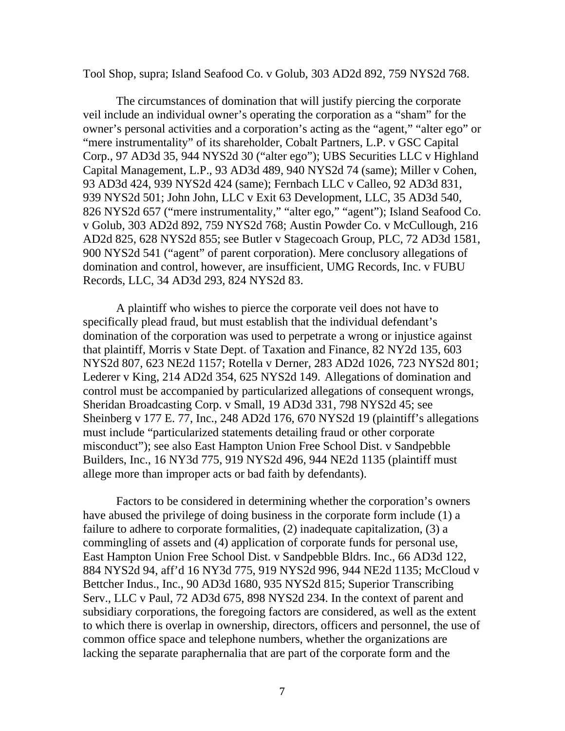Tool Shop, supra; Island Seafood Co. v Golub, 303 AD2d 892, 759 NYS2d 768.

 The circumstances of domination that will justify piercing the corporate veil include an individual owner's operating the corporation as a "sham" for the owner's personal activities and a corporation's acting as the "agent," "alter ego" or "mere instrumentality" of its shareholder, Cobalt Partners, L.P. v GSC Capital Corp., 97 AD3d 35, 944 NYS2d 30 ("alter ego"); UBS Securities LLC v Highland Capital Management, L.P., 93 AD3d 489, 940 NYS2d 74 (same); Miller v Cohen, 93 AD3d 424, 939 NYS2d 424 (same); Fernbach LLC v Calleo, 92 AD3d 831, 939 NYS2d 501; John John, LLC v Exit 63 Development, LLC, 35 AD3d 540, 826 NYS2d 657 ("mere instrumentality," "alter ego," "agent"); Island Seafood Co. v Golub, 303 AD2d 892, 759 NYS2d 768; Austin Powder Co. v McCullough, 216 AD2d 825, 628 NYS2d 855; see Butler v Stagecoach Group, PLC, 72 AD3d 1581, 900 NYS2d 541 ("agent" of parent corporation). Mere conclusory allegations of domination and control, however, are insufficient, UMG Records, Inc. v FUBU Records, LLC, 34 AD3d 293, 824 NYS2d 83.

 A plaintiff who wishes to pierce the corporate veil does not have to specifically plead fraud, but must establish that the individual defendant's domination of the corporation was used to perpetrate a wrong or injustice against that plaintiff, Morris v State Dept. of Taxation and Finance, 82 NY2d 135, 603 NYS2d 807, 623 NE2d 1157; Rotella v Derner, 283 AD2d 1026, 723 NYS2d 801; Lederer v King, 214 AD2d 354, 625 NYS2d 149. Allegations of domination and control must be accompanied by particularized allegations of consequent wrongs, Sheridan Broadcasting Corp. v Small, 19 AD3d 331, 798 NYS2d 45; see Sheinberg v 177 E. 77, Inc., 248 AD2d 176, 670 NYS2d 19 (plaintiff's allegations must include "particularized statements detailing fraud or other corporate misconduct"); see also East Hampton Union Free School Dist. v Sandpebble Builders, Inc., 16 NY3d 775, 919 NYS2d 496, 944 NE2d 1135 (plaintiff must allege more than improper acts or bad faith by defendants).

 Factors to be considered in determining whether the corporation's owners have abused the privilege of doing business in the corporate form include (1) a failure to adhere to corporate formalities, (2) inadequate capitalization, (3) a commingling of assets and (4) application of corporate funds for personal use, East Hampton Union Free School Dist. v Sandpebble Bldrs. Inc., 66 AD3d 122, 884 NYS2d 94, aff'd 16 NY3d 775, 919 NYS2d 996, 944 NE2d 1135; McCloud v Bettcher Indus., Inc., 90 AD3d 1680, 935 NYS2d 815; Superior Transcribing Serv., LLC v Paul, 72 AD3d 675, 898 NYS2d 234. In the context of parent and subsidiary corporations, the foregoing factors are considered, as well as the extent to which there is overlap in ownership, directors, officers and personnel, the use of common office space and telephone numbers, whether the organizations are lacking the separate paraphernalia that are part of the corporate form and the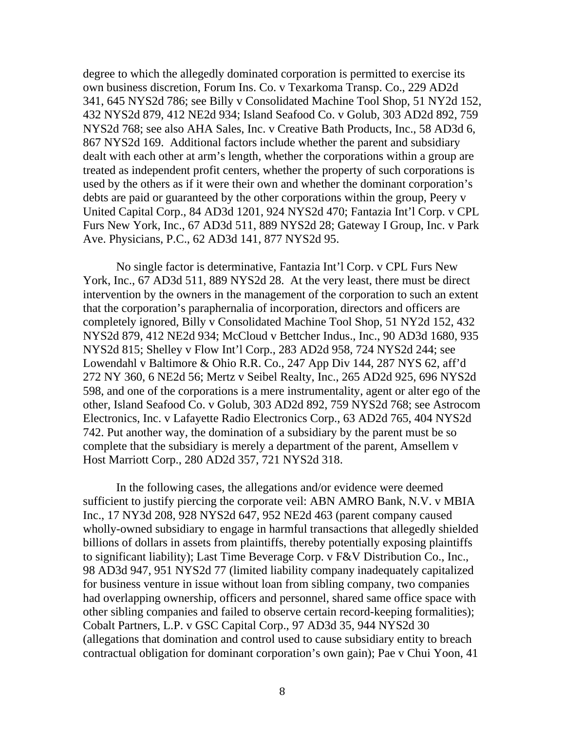degree to which the allegedly dominated corporation is permitted to exercise its own business discretion, Forum Ins. Co. v Texarkoma Transp. Co., 229 AD2d 341, 645 NYS2d 786; see Billy v Consolidated Machine Tool Shop, 51 NY2d 152, 432 NYS2d 879, 412 NE2d 934; Island Seafood Co. v Golub, 303 AD2d 892, 759 NYS2d 768; see also AHA Sales, Inc. v Creative Bath Products, Inc., 58 AD3d 6, 867 NYS2d 169. Additional factors include whether the parent and subsidiary dealt with each other at arm's length, whether the corporations within a group are treated as independent profit centers, whether the property of such corporations is used by the others as if it were their own and whether the dominant corporation's debts are paid or guaranteed by the other corporations within the group, Peery v United Capital Corp., 84 AD3d 1201, 924 NYS2d 470; Fantazia Int'l Corp. v CPL Furs New York, Inc., 67 AD3d 511, 889 NYS2d 28; Gateway I Group, Inc. v Park Ave. Physicians, P.C., 62 AD3d 141, 877 NYS2d 95.

No single factor is determinative, Fantazia Int'l Corp. v CPL Furs New York, Inc., 67 AD3d 511, 889 NYS2d 28. At the very least, there must be direct intervention by the owners in the management of the corporation to such an extent that the corporation's paraphernalia of incorporation, directors and officers are completely ignored, Billy v Consolidated Machine Tool Shop, 51 NY2d 152, 432 NYS2d 879, 412 NE2d 934; McCloud v Bettcher Indus., Inc., 90 AD3d 1680, 935 NYS2d 815; Shelley v Flow Int'l Corp., 283 AD2d 958, 724 NYS2d 244; see Lowendahl v Baltimore & Ohio R.R. Co., 247 App Div 144, 287 NYS 62, aff'd 272 NY 360, 6 NE2d 56; Mertz v Seibel Realty, Inc., 265 AD2d 925, 696 NYS2d 598, and one of the corporations is a mere instrumentality, agent or alter ego of the other, Island Seafood Co. v Golub, 303 AD2d 892, 759 NYS2d 768; see Astrocom Electronics, Inc. v Lafayette Radio Electronics Corp., 63 AD2d 765, 404 NYS2d 742. Put another way, the domination of a subsidiary by the parent must be so complete that the subsidiary is merely a department of the parent, Amsellem v Host Marriott Corp., 280 AD2d 357, 721 NYS2d 318.

 In the following cases, the allegations and/or evidence were deemed sufficient to justify piercing the corporate veil: ABN AMRO Bank, N.V. v MBIA Inc., 17 NY3d 208, 928 NYS2d 647, 952 NE2d 463 (parent company caused wholly-owned subsidiary to engage in harmful transactions that allegedly shielded billions of dollars in assets from plaintiffs, thereby potentially exposing plaintiffs to significant liability); Last Time Beverage Corp. v F&V Distribution Co., Inc., 98 AD3d 947, 951 NYS2d 77 (limited liability company inadequately capitalized for business venture in issue without loan from sibling company, two companies had overlapping ownership, officers and personnel, shared same office space with other sibling companies and failed to observe certain record-keeping formalities); Cobalt Partners, L.P. v GSC Capital Corp., 97 AD3d 35, 944 NYS2d 30 (allegations that domination and control used to cause subsidiary entity to breach contractual obligation for dominant corporation's own gain); Pae v Chui Yoon, 41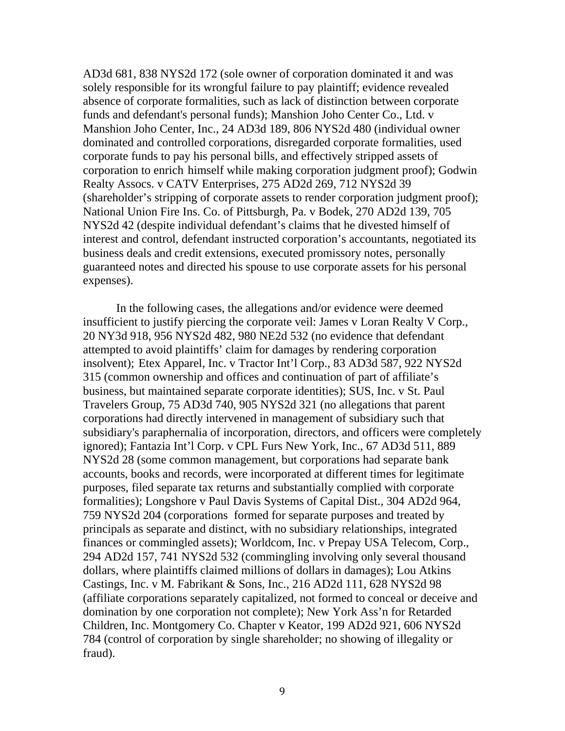AD3d 681, 838 NYS2d 172 (sole owner of corporation dominated it and was solely responsible for its wrongful failure to pay plaintiff; evidence revealed absence of corporate formalities, such as lack of distinction between corporate funds and defendant's personal funds); Manshion Joho Center Co., Ltd. v Manshion Joho Center, Inc., 24 AD3d 189, 806 NYS2d 480 (individual owner dominated and controlled corporations, disregarded corporate formalities, used corporate funds to pay his personal bills, and effectively stripped assets of corporation to enrich himself while making corporation judgment proof); Godwin Realty Assocs. v CATV Enterprises, 275 AD2d 269, 712 NYS2d 39 (shareholder's stripping of corporate assets to render corporation judgment proof); National Union Fire Ins. Co. of Pittsburgh, Pa. v Bodek, 270 AD2d 139, 705 NYS2d 42 (despite individual defendant's claims that he divested himself of interest and control, defendant instructed corporation's accountants, negotiated its business deals and credit extensions, executed promissory notes, personally guaranteed notes and directed his spouse to use corporate assets for his personal expenses).

 In the following cases, the allegations and/or evidence were deemed insufficient to justify piercing the corporate veil: James v Loran Realty V Corp., 20 NY3d 918, 956 NYS2d 482, 980 NE2d 532 (no evidence that defendant attempted to avoid plaintiffs' claim for damages by rendering corporation insolvent); Etex Apparel, Inc. v Tractor Int'l Corp., 83 AD3d 587, 922 NYS2d 315 (common ownership and offices and continuation of part of affiliate's business, but maintained separate corporate identities); SUS, Inc. v St. Paul Travelers Group, 75 AD3d 740, 905 NYS2d 321 (no allegations that parent corporations had directly intervened in management of subsidiary such that subsidiary's paraphernalia of incorporation, directors, and officers were completely ignored); Fantazia Int'l Corp. v CPL Furs New York, Inc., 67 AD3d 511, 889 NYS2d 28 (some common management, but corporations had separate bank accounts, books and records, were incorporated at different times for legitimate purposes, filed separate tax returns and substantially complied with corporate formalities); Longshore v Paul Davis Systems of Capital Dist., 304 AD2d 964, 759 NYS2d 204 (corporations formed for separate purposes and treated by principals as separate and distinct, with no subsidiary relationships, integrated finances or commingled assets); Worldcom, Inc. v Prepay USA Telecom, Corp., 294 AD2d 157, 741 NYS2d 532 (commingling involving only several thousand dollars, where plaintiffs claimed millions of dollars in damages); Lou Atkins Castings, Inc. v M. Fabrikant & Sons, Inc., 216 AD2d 111, 628 NYS2d 98 (affiliate corporations separately capitalized, not formed to conceal or deceive and domination by one corporation not complete); New York Ass'n for Retarded Children, Inc. Montgomery Co. Chapter v Keator, 199 AD2d 921, 606 NYS2d 784 (control of corporation by single shareholder; no showing of illegality or fraud).